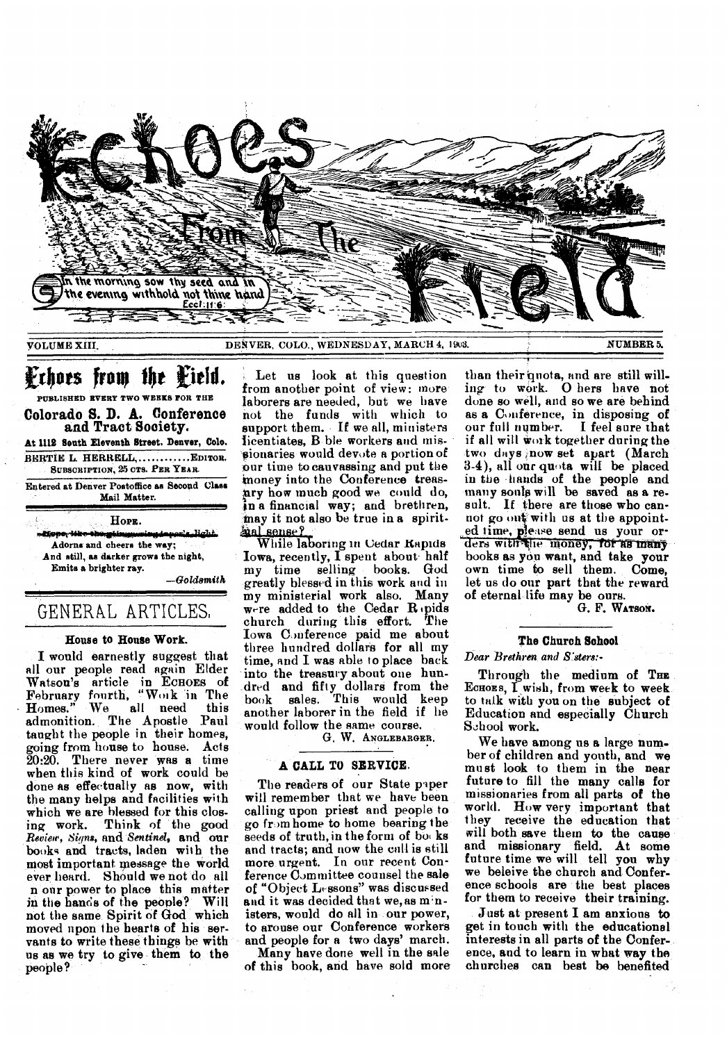

# Frhoes from the Field.

PUBLISHED EVERY TWO WEEKS FOR THE Colorado S. D. A. Conference and Tract Society. At 1112 South Eleventh Street. Denver, Colo. BERTIE L. HERRELL, ............ EDITOR. SUBSCRIPTION, 25 CTS. PER YEAR.

Entered at Denver Postoffice as Second Class Mail Matter.

HopE. dison-ilke-ibe-ell Adorns and cheers the way; And still, as darker grows the night, Emits a brighter ray.  $-Goldsmith$ 

# GENERAL ARTICLES.

### House to House Work.

I would earnestly suggest that all our people read again Elder Watson's article in ECHOES of<br>February fourth, "Work in The<br>Homes." We all need this admonition. The Apostle Paul taught the people in their homes. going from house to house. Acts 20:20. There never was a time when this kind of work could be done as effectually as now, with the many helps and facilities with which we are blessed for this clos-Think of the good ing work. Review, Signs, and Sentinel, and our books and tracts, laden with the most important message the world ever heard. Should we not do all n our power to place this matter in the hands of the people? Will not the same Spirit of God which moved upon the hearts of his servants to write these things be with us as we try to give them to the people?

Let us look at this question from another point of view: more laborers are needed, but we have not the funds with which to support them. If we all, ministers licentiates, B ble workers and missionaries would devote a portion of our time to cauvassing and put the money into the Conference treasary how much good we could do, in a financial way; and brethren, may it not also be true in a spiritaal sense?

While laboring in Cedar Rapids Iowa, recently, I spent about half my time selling books. God greatly blessed in this work and in my ministerial work also. Many were added to the Cedar Repids church during this effort. The Iowa Conference paid me about<br>three hundred dollars for all my time, and I was able to place back into the treasury about one hundred and fifty dollars from the another laborer in the field if he would follow the same course.

G. W. ANGLEBARGER.

### A CALL TO SERVICE.

The readers of our State paper will remember that we have been calling upon priest and people to go from home to home bearing the seeds of truth, in the form of books and tracts; and now the call is still more urgent. In our recent Conference Committee counsel the sale of "Object Lessons" was discussed and it was decided that we, as ministers, would do all in our power, to arouse our Conference workers and people for a two days' march.

Many have done well in the sale of this book, and have sold more

than their quota, and are still willing to work. O hers have not done so well, and so we are behind as a Conference, in disposing of our full number. I feel sure that if all will work together during the two days now set apart (March 3.4), all our quota will be placed in the hands of the people and many souls will be saved as a result. If there are those who cannot go out with us at the appointed time, please send us your orders with the money, for as many books as you want, and take your own time to sell them. Come, let us do our part that the reward of eternal life may be ours.

G. F. WATSON.

### The Church School

### Dear Brethren and S.sters:-

Through the medium of THE ECHOES, I wish, from week to week to talk with you on the subject of Education and especially Church School work.

We have among us a large number of children and youth, and we must look to them in the near future to fill the many calls for missionaries from all parts of the world. How very important that they receive the education that will both save them to the cause and missionary field. At some future time we will tell you why we beleive the church and Conference schools are the best places for them to receive their training.

Just at present I am anxious to get in touch with the educational interests in all parts of the Conference, and to learn in what way the churches can best be benefited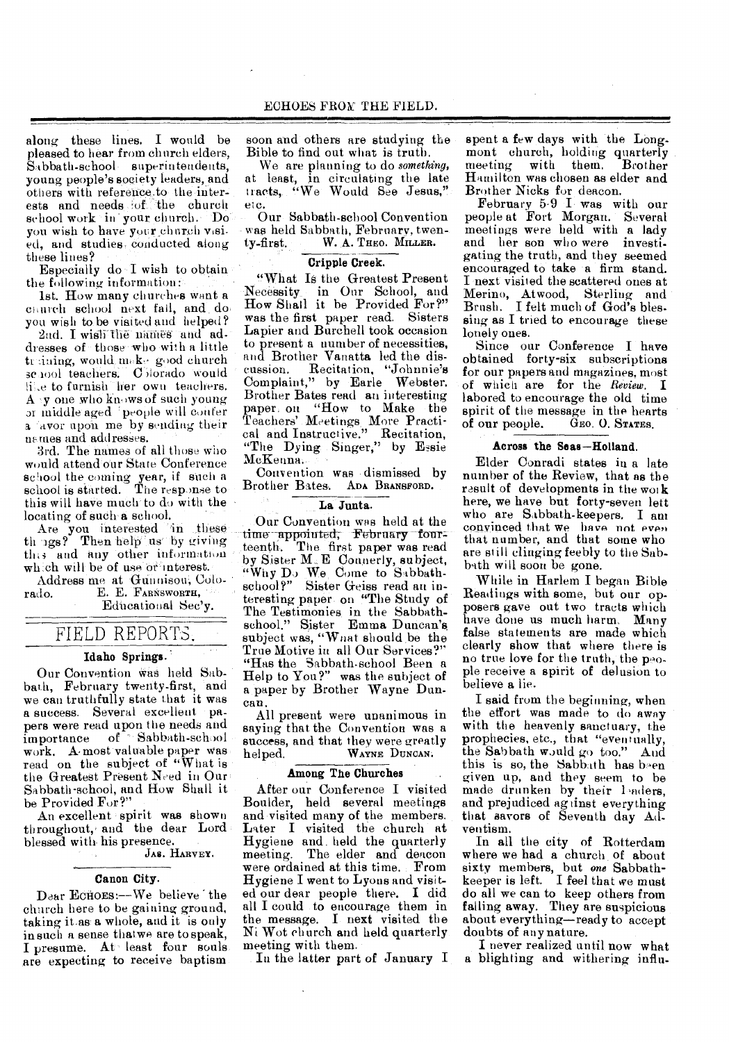along these lines. I would be pleased to hear from church elders, Sabbath-school superintendents, young people's society leaders, and others with reference,to the interests and needs of the church school work in your church. Do you wish to have your church visied, and studies- conducted along these lines?

Especially do -I wish to obtain the following information:

1st. How many churches want a church school next fall, and do. you wish to be visited and helped? 2nd. I wish the names and ad-

dresses of those who with a little truining, would make good church sc 1001 teachers. C horado would ii.e to furnish her own teachers.  $A \rightarrow y$  one who knows of such young or middle aged 'people will confer a avor upon me by sending their<br>names and addresses.

3rd. The names of all those who would attend our State Conference school the coming year, if such a school is started. The response to this will have much to do with the locating of such a school.

Are you interested in these th 1gs? Then help us by giving this and any other information which will be of use or interest.

Address rite at Gunuison, Colo-E. E. FARNSWORTH, Educational Sec'y.

FIELD REPORTS.

### Idaho Springs.

Our Convention Was held Sabbath, February twenty-first, and we can truthfully state that it was a success. Several excellent papers were read upon the needs and<br>importance of Sabbath-school of ". Sabbath-school work. A-most valuable paper was read on the subject of "What is the Greatest Present Need in Our Sabbath-school, and How Shall it be Provided For?"

An excellent spirit was shown throughout, and the dear Lord blessed with. his presence.

JAS. HARVEY.

#### Canon City.

Dear Ecnoes:--We believe the church here to be gaining ground, taking it as a whole, and it is only in such a sense thatwe are to speak, I presume. At least four souls are expecting to receive baptism

soon and others are studying the Bible to find out what is truth.

We are planning to do *something,*  at least, in circulating the late tracts, "We Would See Jesus," etc.

Our Sabbath-school Convention was held Sabbath, February, twen-<br>ty-first. W. A. Theo. Millen. W. A. THEO. MILLER.

### Cripple Creek.

"What Is the Greatest Present Necessity in Our School, and How Shall it be Provided For?" was the first paper read. Sisters Lapier and Burchell took occasion to present a number of necessities, and Brother Vanatta led the discussion. Recitation, "Johnnie's Complaint," by Earle Webster. Brother Bates read an interesting paper. on "How to Make the Teachers' Meetings More Practical and Instructive." Recitation, "The Dying Singer," by Essie McKenna..

Convention was dismissed by Brother Bates, ADA BRANSFORD.

### La Junta.

Our Convention was held at the time appointed, February fourteenth. The first paper was read by Sister M. E Connerly, subject, "Why Do We Come to Sabbathschool?" Sister Geiss read an interesting paper on "The Study of The Testimonies in the Sabbathschool." Sister Emma Duncan's. subject was, "What should be the True Motive in all Our Services?" "Has the Sabbath-school Been a Help to You?" was the subject of a paper by Brother Wayne Duncan.

All present were unanimous in saying that the Convention was a success, and that they were greatly<br>helped. WAYNE DUNCAN. WAYNE DUNCAN.

### Among The Churches

After our Conference I visited Boulder, held several meetings and visited many of the members. Later I visited the church at Hygiene and. held the quarterly meeting. The elder and deacon were ordained at this time. From Hygiene I went to Lyons and visited our dear people there. I did all I could to encourage them in the message. I next visited the Ni Wot church and held quarterly meeting with them.

In the latter part of January I

spent a few days with the Longmont church, holding quarterly<br>meeting with them. Brother meeting with them. Hamilton was chosen as elder and Brother Nicks for deacon.

February 5.9 I was with our people at Fort Morgan. Several meetings were held with a lady and her son who were investigating the truth, and they seemed encouraged to take a firm stand. I next visited the scattered ones at Merino, Atwood, Sterling and Brush. I felt much of God's blessing as I tried to encourage these lonely ones.

Since our Conference I have obtained forty-six subscriptions for our papers and magazines, most of which are for the *Review.* I labored to encourage the old time spirit of the message in the hearts<br>of our people. GEO. O. STATES. GEO. O. STATES.

### Across the Seas—Holland.

Elder Conradi states in a late number of the Review, that as the result of developments in the work here, we have but forty-seven lett who are Sabbath-keepers. I ant convinced that we have not even that number, and that some who are still clinging feebly to the Sabbath will soon be gone.

While in Harlem I began Bible Readings with some, but our opposers gave out two tracts which have done us much harm. Many false statements are made which clearly show that where there is no true love for the truth, the people receive a spirit of delusion to believe a lie.

I said from the beginning, when the effort was made to do away with the heavenly sanctuary, the prophecies, etc., that "eventually, the Sabbath would go too." And this is so, the Sabbath has b-en given up, and they seem to be made drunken by their 1 aders, and prejudiced ag tinst everything that savors of Seventh day Adventism.

In all the city of Rotterdam where we had a church of about sixty members, but *one* Sabbathkeeper is left. I feel that we must do all we can to keep others from falling away. They are suspicious about everything—ready to accept doubts of any nature.

I never realized until now what a blighting and withering influ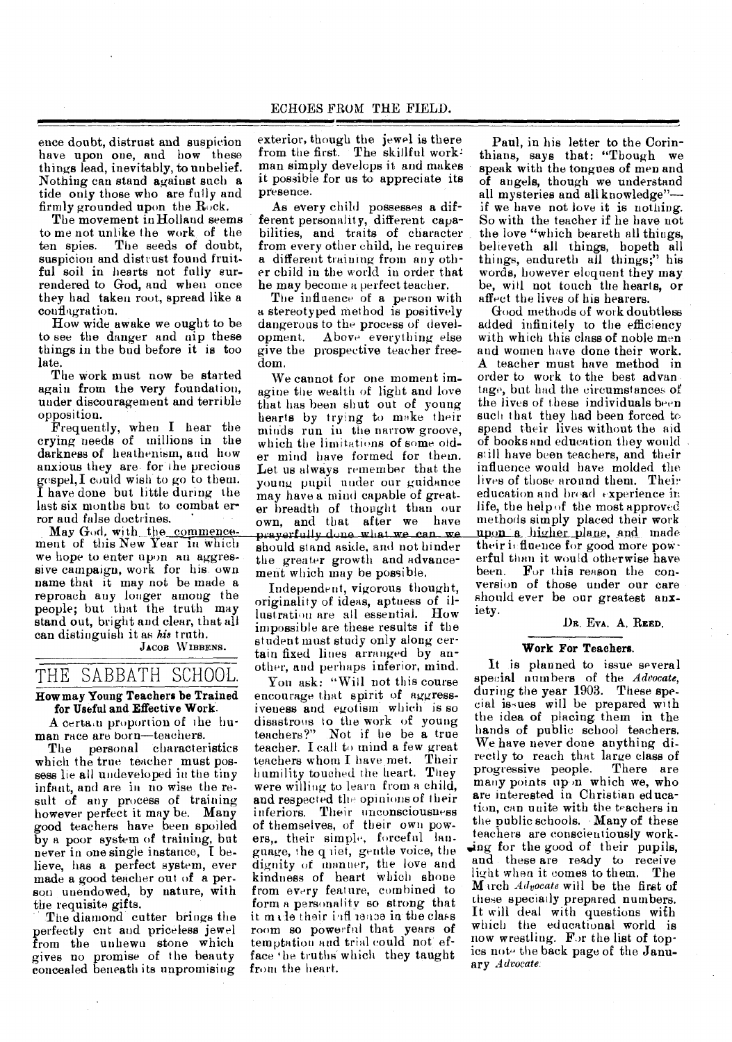ence doubt, distrust and suspicion have upon one, and how these things lead, inevitably, to unbelief. Nothing can stand against such *a*  tide only those who are fully and firmly grounded upon the Rock.

The movement in Holland seems to me not unlike the work of the The seeds of doubt, suspicion and distrust found fruitful soil in hearts not fully surrendered to God, and when once they had taken root, spread like a conflagration.

How wide awake we ought to be to see the danger and nip these things in the bud before it is too late.

The work must now be started again from the very foundation, under discouragement and terrible opposition.

Frequently, when I hear the crying needs of millions in the darkness of heathenism, and how anxious they are for the precious gespel,I could wish' to go to them. I have done but little during the last six months but to combat error and false doctrines.

May God, with the commencement of this New Year in Which we hope to enter upon an aggressive campaign, work for his. own name that it may not be made a reproach any longer among the people; but that the truth may stand out, bright and clear, that all can distinguish it *as his* truth.

JACOB WIBBENS.

# THE SABBATH SCHOOL.

### How may Young Teachers be Trained for Useful and Effective Work.

A certa n proportion of the human race are born—teachers.

The personal characteristics which the true teacher must possess lie all undeveloped in the tiny infant, and are in no wise the result of any process of training however perfect it may be. Many good teachers have been spoiled by a poor system of training, but never in one single instance, I believe, has a perfect system, ever made a good teacher out of a person unendowed, by nature, with the requisite gifts.

The diamond cutter brings the perfectly cut and priceless jewel from the unhewn stone which gives no promise of the beauty concealed beneath its unpromising

exterior, though the jewel is there from the first. The skillful work: man simply develops it and makes it possible for us to appreciate its presence.

As every child possesses a different personality, different capabilities, and traits of character from every other child, he requires a different training from any other child in the world in order that he may become a perfect teacher.

The influence of a person with a stereotyped method is positively dangerous to the process of development. Above everything else give the prospective teacher freedom.

We cannot for one moment imagine the wealth of light and love that has been shut out of young hearts by trying to make their minds run in the narrow groove, which the limitations of some older mind have formed for them. Let us always remember that the young pupil under our guidance may have a mind capable of greater breadth of thought than our own, and that after we have prayerfully done what we can we should stand aside, and not hinder the greater growth and advancement which may be possible.

Independent, vigorous thought, originality of ideas, aptness of illustratien are all essential. How impossible are these results if the student must study only along certain fixed lines arranged by another, and perhaps inferior, mind.

Yon ask: "Will not this course encourage that spirit of aggressiveness and egotism which is so disastrous to the work of young teachers?" Not if he be a true teacher. I call to mind a few great teachers whom I have met. Their humility touched the heart. They were willing to learn from a child, and respected the opinions of their inferiors. Their unconsciousness of themselves, of their own powers,. their simple, forceful language, the q iiet, gentle voice, the dignity of manner, the love and kindness of heart which shone from every feature, combined to form a personality so strong that it made their influence in the class room so powerful that years of temptation and trial could not efface 'he truths which they taught from the heart.

Paul, in his letter to the Corinthians, says that: "Though we speak with the tongues of men and of angels, though we understand all mysteries and all knowledge" if we have not love it is nothing. So with the teacher if he have not the love "which beareth all things, believeth all things, hopeth all things, endureth all things;" his words, however eloquent they may be, will not touch the hearts, or affect the lives of his hearers.

Good methods of work doubtless added infinitely to the efficiency with which this class of noble men and women have done their work. A teacher must have method in order to work to the best advan tage, but had the circumstances of the lives of these individuals been such that they had been forced to spend their lives without the aid of books and education they would still have been teachers, and their influence would have molded the lives of those around them. Their education and broad experience in life, the help of the most approved methods simply placed their work upon a higher plane, and made their influence for good more powerful than it would otherwise have been. For this reason the conversion of those under our care should ever be our greatest anxiety.

DR. EVA. A. REED.

### Work For Teachers.

It is planned to issue several special numbers of the *Advocate,*  during the year 1903. These special issues will be prepared with the idea of placing them in the hands of public school teachers. We have never done anything directly to reach that large class of<br>progressive people. There are progressive people. many points up in which we, who are interested in Christian education, can unite with the teachers in the public schools. Many of these teachers are conscientiously working for the good of their pupils, and these are ready to receive light when it comes to them. The March *Advocate* will be the first of these specially prepared numbers. It will deal with questions with which the educational world is now wrestling. For the list of topics note the back page of the January *Advocate.*